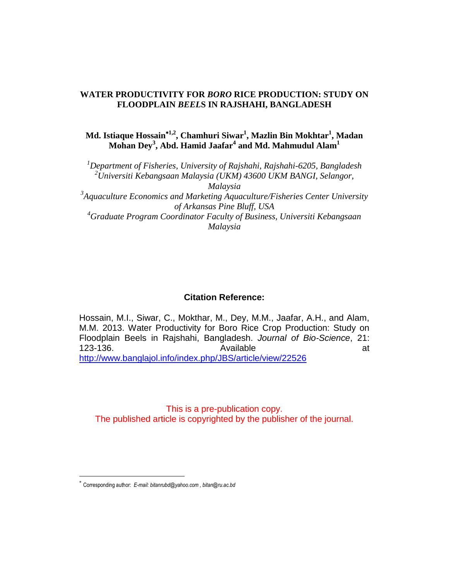# **WATER PRODUCTIVITY FOR** *BORO* **RICE PRODUCTION: STUDY ON FLOODPLAIN** *BEEL***S IN RAJSHAHI, BANGLADESH**

**Md. Istiaque Hossain1,2, Chamhuri Siwar<sup>1</sup> , Mazlin Bin Mokhtar<sup>1</sup> , Madan Mohan Dey<sup>3</sup> , Abd. Hamid Jaafar<sup>4</sup> and Md. Mahmudul Alam<sup>1</sup>**

*<sup>1</sup>Department of Fisheries, University of Rajshahi, Rajshahi-6205, Bangladesh <sup>2</sup>Universiti Kebangsaan Malaysia (UKM) 43600 UKM BANGI, Selangor, Malaysia* <sup>3</sup> Aquaculture Economics and Marketing Aquaculture/Fisheries Center University

*of Arkansas Pine Bluff, USA <sup>4</sup>Graduate Program Coordinator Faculty of Business, Universiti Kebangsaan Malaysia*

# **Citation Reference:**

Hossain, M.I., Siwar, C., Mokthar, M., Dey, M.M., Jaafar, A.H., and Alam, M.M. 2013. Water Productivity for Boro Rice Crop Production: Study on Floodplain Beels in Rajshahi, Bangladesh. *Journal of Bio-Science*, 21: 123-136. Contract and the set of Available at the set of the set of the set of the set of the set of the set o <http://www.banglajol.info/index.php/JBS/article/view/22526>

This is a pre-publication copy. The published article is copyrighted by the publisher of the journal.

 $\overline{\phantom{a}}$ 

Corresponding author: *E-mail: bitanrubd@yahoo.com , bitan@ru.ac.bd*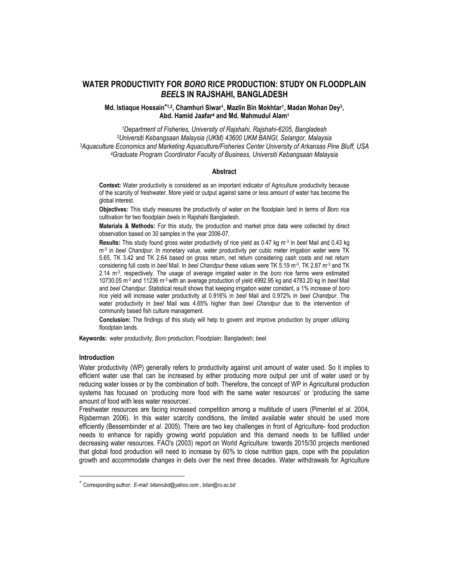# **WATER PRODUCTIVITY FOR** *BORO* **RICE PRODUCTION: STUDY ON FLOODPLAIN**  *BEEL***S IN RAJSHAHI, BANGLADESH**

## Md. Istiaque Hossain<sup>\*1,2</sup>, Chamhuri Siwar<sup>1</sup>, Mazlin Bin Mokhtar<sup>1</sup>, Madan Mohan Dey<sup>3</sup>, **Abd. Hamid Jaafar<sup>4</sup> and Md. Mahmudul Alam<sup>1</sup>**

*Department of Fisheries, University of Rajshahi, Rajshahi-6205, Bangladesh Universiti Kebangsaan Malaysia (UKM) 43600 UKM BANGI, Selangor, Malaysia Aquaculture Economics and Marketing Aquaculture/Fisheries Center University of Arkansas Pine Bluff, USA Graduate Program Coordinator Faculty of Business, Universiti Kebangsaan Malaysia*

## **Abstract**

**Context:** Water productivity is considered as an important indicator of Agriculture productivity because of the scarcity of freshwater. More yield or output against same or less amount of water has become the global interest.

**Objectives:** This study measures the productivity of water on the floodplain land in terms of *Boro* rice cultivation for two floodplain *beels* in Rajshahi Bangladesh.

**Materials & Methods:** For this study, the production and market price data were collected by direct observation based on 30 samples in the year 2006-07.

**Results:** This study found gross water productivity of rice yield as 0.47 kg m-3 in *beel* Mail and 0.43 kg m-3 in *beel Chandpur*. In monetary value, water productivity per cubic meter irrigation water were TK 5.65, TK 3.42 and TK 2.64 based on gross return, net return considering cash costs and net return considering full costs in *beel* Mail. In *beel Chandpur* these values were TK 5.19 m-3 , TK 2.87 m-3 and TK 2.14 m-3 , respectively. The usage of average irrigated water in the *boro* rice farms were estimated 10730.05 m-3 and 11236 m-3 with an average production of yield 4992.95 kg and 4783.20 kg in *beel* Mail and *beel Chandpur*. Statistical result shows that keeping irrigation water constant, a 1% increase of *boro* rice yield will increase water productivity at 0.916% in *beel* Mail and 0.972% in *beel Chandpur*. The water productivity in *beel* Mail was 4.65% higher than *beel Chandpur* due to the intervention of community based fish culture management.

**Conclusion:** The findings of this study will help to govern and improve production by proper utilizing floodplain lands.

**Keywords:** water productivity; *Boro* production; Floodplain; Bangladesh; *beel*.

### **Introduction**

 $\overline{\phantom{a}}$ 

Water productivity (WP) generally refers to productivity against unit amount of water used. So it implies to efficient water use that can be increased by either producing more output per unit of water used or by reducing water losses or by the combination of both. Therefore, the concept of WP in Agricultural production systems has focused on 'producing more food with the same water resources' or 'producing the same amount of food with less water resources'.

Freshwater resources are facing increased competition among a multitude of users (Pimentel *et al.* 2004, Rijsberman 2006). In this water scarcity conditions, the limited available water should be used more efficiently (Bessembinder *et al*. 2005). There are two key challenges in front of Agriculture- food production needs to enhance for rapidly growing world population and this demand needs to be fulfilled under decreasing water resources. FAO's (2003) report on World Agriculture: towards 2015/30 projects mentioned that global food production will need to increase by 60% to close nutrition gaps, cope with the population growth and accommodate changes in diets over the next three decades. Water withdrawals for Agriculture

Corresponding author: *E-mail: bitanrubd@yahoo.com , bitan@ru.ac.bd*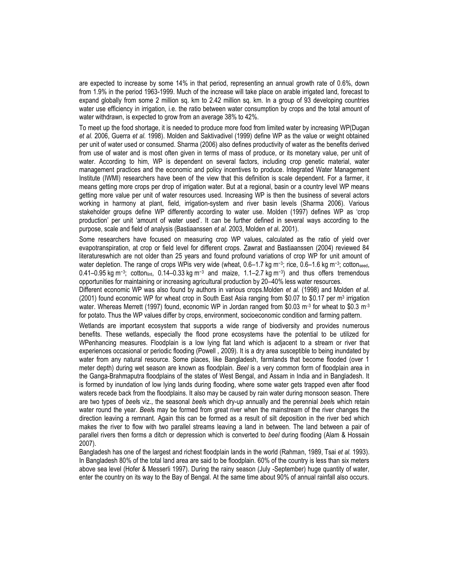are expected to increase by some 14% in that period, representing an annual growth rate of 0.6%, down from 1.9% in the period 1963-1999. Much of the increase will take place on arable irrigated land, forecast to expand globally from some 2 million sq. km to 2.42 million sq. km. In a group of 93 developing countries water use efficiency in irrigation, i.e. the ratio between water consumption by crops and the total amount of water withdrawn, is expected to grow from an average 38% to 42%.

To meet up the food shortage, it is needed to produce more food from limited water by increasing WP(Dugan *et al.* 2006, Guerra *et al.* 1998). Molden and Saktivadivel (1999) define WP as the value or weight obtained per unit of water used or consumed. Sharma (2006) also defines productivity of water as the benefits derived from use of water and is most often given in terms of mass of produce, or its monetary value, per unit of water. According to him, WP is dependent on several factors, including crop genetic material, water management practices and the economic and policy incentives to produce. Integrated Water Management Institute (IWMI) researchers have been of the view that this definition is scale dependent. For a farmer, it means getting more crops per drop of irrigation water. But at a regional, basin or a country level WP means getting more value per unit of water resources used. Increasing WP is then the business of several actors working in harmony at plant, field, irrigation-system and river basin levels (Sharma 2006). Various stakeholder groups define WP differently according to water use. Molden (1997) defines WP as 'crop production' per unit ‗amount of water used'. It can be further defined in several ways according to the purpose, scale and field of analysis (Bastiaanssen *et al.* 2003, Molden *et a*l. 2001).

Some researchers have focused on measuring crop WP values, calculated as the ratio of yield over evapotranspiration, at crop or field level for different crops. Zawrat and Bastiaanssen (2004) reviewed 84 literatureswhich are not older than 25 years and found profound variations of crop WP for unit amount of water depletion. The range of crops WPis very wide (wheat, 0.6–1.7 kg m<sup>-3</sup>; rice, 0.6–1.6 kg m<sup>-3</sup>; cottonseed, 0.41–0.95 kg m−3; cottonlint, 0.14–0.33 kg m−3 and maize, 1.1–2.7 kg m−3) and thus offers tremendous opportunities for maintaining or increasing agricultural production by 20–40% less water resources.

Different economic WP was also found by authors in various crops.Molden *et al.* (1998) and Molden *et al*. (2001) found economic WP for wheat crop in South East Asia ranging from \$0.07 to \$0.17 per m<sup>3</sup> irrigation water. Whereas Merrett (1997) found, economic WP in Jordan ranged from \$0.03 m<sup>-3</sup> for wheat to \$0.3 m<sup>-3</sup> for potato. Thus the WP values differ by crops, environment, socioeconomic condition and farming pattern.

Wetlands are important ecosystem that supports a wide range of biodiversity and provides numerous benefits. These wetlands, especially the flood prone ecosystems have the potential to be utilized for WPenhancing measures. Floodplain is a low lying flat land which is adjacent to a stream or river that experiences occasional or periodic flooding (Powell , 2009). It is a dry area susceptible to being inundated by water from any natural resource. Some places, like Bangladesh, farmlands that become flooded (over 1 meter depth) during wet season are known as floodplain. *Beel* is a very common form of floodplain area in the Ganga-Brahmaputra floodplains of the states of West Bengal, and Assam in India and in Bangladesh. It is formed by inundation of low lying lands during flooding, where some water gets trapped even after flood waters recede back from the floodplains. It also may be caused by rain water during monsoon season. There are two types of *beel*s viz., the seasonal *beel*s which dry-up annually and the perennial *beel*s which retain water round the year. *Beel*s may be formed from great river when the mainstream of the river changes the direction leaving a remnant. Again this can be formed as a result of silt deposition in the river bed which makes the river to flow with two parallel streams leaving a land in between. The land between a pair of parallel rivers then forms a ditch or depression which is converted to *beel* during flooding (Alam & Hossain 2007).

Bangladesh has one of the largest and richest floodplain lands in the world (Rahman, 1989, Tsai *et al.* 1993). In Bangladesh 80% of the total land area are said to be floodplain. 60% of the country is less than six meters above sea level (Hofer & Messerli 1997). During the rainy season (July -September) huge quantity of water, enter the country on its way to the Bay of Bengal. At the same time about 90% of annual rainfall also occurs.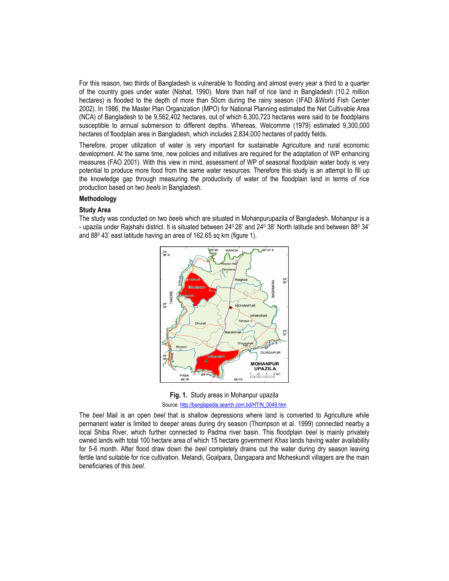For this reason, two thirds of Bangladesh is vulnerable to flooding and almost every year a third to a quarter of the country goes under water (Nishat, 1990). More than half of rice land in Bangladesh (10.2 million hectares) is flooded to the depth of more than 50cm during the rainy season (IFAD &World Fish Center 2002). In 1986, the Master Plan Organization (MPO) for National Planning estimated the Net Cultivable Area (NCA) of Bangladesh to be 9,562,402 hectares, out of which 6,300,723 hectares were said to be floodplains susceptible to annual submersion to different depths. Whereas, Welcomme (1979) estimated 9,300,000 hectares of floodplain area in Bangladesh, which includes 2,834,000 hectares of paddy fields.

Therefore, proper utilization of water is very important for sustainable Agriculture and rural economic development. At the same time, new policies and initiatives are required for the adaptation of WP enhancing measures (FAO 2001). With this view in mind, assessment of WP of seasonal floodplain water body is very potential to produce more food from the same water resources. Therefore this study is an attempt to fill up the knowledge gap through measuring the productivity of water of the floodplain land in terms of rice production based on two *beels* in Bangladesh.

# **Methodology**

# **Study Area**

The study was conducted on two *beel*s which are situated in Mohanpurupazila of Bangladesh. Mohanpur is a - upazila under Rajshahi district. It is situated between 240 28' and 240 38' North latitude and between 880 34' and 88<sup>0</sup> 43' east latitude having an area of 162.65 sq km (figure 1).



**Fig. 1.** Study areas in Mohanpur upazila Source[: http://banglapedia.search.com.bd/HT/N\\_0049.htm](http://banglapedia.search.com.bd/HT/N_0049.htm)

The *beel* Mail is an open *beel* that is shallow depressions where land is converted to Agriculture while permanent water is limited to deeper areas during dry season (Thompson et al. 1999) connected nearby a local Shiba River, which further connected to Padma river basin. This floodplain *beel* is mainly privately owned lands with total 100 hectare area of which 15 hectare government *Khas* lands having water availability for 5-6 month. After flood draw down the *beel* completely drains out the water during dry season leaving fertile land suitable for rice cultivation. Melandi, Goalpara, Dangapara and Moheskundi villagers are the main beneficiaries of this *beel*.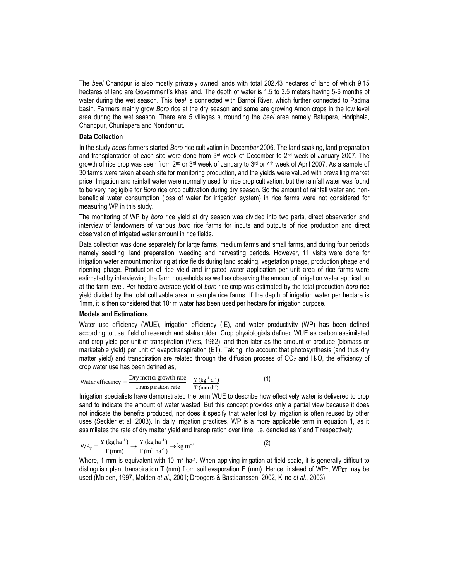The *beel* Chandpur is also mostly privately owned lands with total 202.43 hectares of land of which 9.15 hectares of land are Government's khas land. The depth of water is 1.5 to 3.5 meters having 5-6 months of water during the wet season. This *beel* is connected with Barnoi River, which further connected to Padma basin. Farmers mainly grow *Boro* rice at the dry season and some are growing Amon crops in the low level area during the wet season. There are 5 villages surrounding the *beel* area namely Batupara, Horiphala, Chandpur, Chuniapara and Nondonhut.

## **Data Collection**

In the study *beel*s farmers started *Boro* rice cultivation in Decem*ber* 2006. The land soaking, land preparation and transplantation of each site were done from 3<sup>rd</sup> week of December to 2<sup>nd</sup> week of January 2007. The growth of rice crop was seen from 2<sup>nd</sup> or 3<sup>rd</sup> week of January to 3<sup>rd</sup> or 4<sup>th</sup> week of April 2007. As a sample of 30 farms were taken at each site for monitoring production, and the yields were valued with prevailing market price. Irrigation and rainfall water were normally used for rice crop cultivation, but the rainfall water was found to be very negligible for *Boro* rice crop cultivation during dry season. So the amount of rainfall water and nonbeneficial water consumption (loss of water for irrigation system) in rice farms were not considered for measuring WP in this study.

The monitoring of WP by *boro* rice yield at dry season was divided into two parts, direct observation and interview of landowners of various *boro* rice farms for inputs and outputs of rice production and direct observation of irrigated water amount in rice fields.

Data collection was done separately for large farms, medium farms and small farms, and during four periods namely seedling, land preparation, weeding and harvesting periods. However, 11 visits were done for irrigation water amount monitoring at rice fields during land soaking, vegetation phage, production phage and ripening phage. Production of rice yield and irrigated water application per unit area of rice farms were estimated by interviewing the farm households as well as observing the amount of irrigation water application at the farm level. Per hectare average yield of *boro* rice crop was estimated by the total production *boro* rice yield divided by the total cultivable area in sample rice farms. If the depth of irrigation water per hectare is 1mm, it is then considered that  $10<sup>3</sup>$  m water has been used per hectare for irrigation purpose.

## **Models and Estimations**

Water use efficiency (WUE), irrigation efficiency (IE), and water productivity (WP) has been defined according to use, field of research and stakeholder. Crop physiologists defined WUE as carbon assimilated and crop yield per unit of transpiration (Viets, 1962), and then later as the amount of produce (biomass or marketable yield) per unit of evapotranspiration (ET). Taking into account that photosynthesis (and thus dry matter yield) and transpiration are related through the diffusion process of  $CO<sub>2</sub>$  and H<sub>2</sub>O, the efficiency of crop water use has been defined as,

Water efficiency = 
$$
\frac{Dry\,meter\,growth\,rate}{Transpiration\,rate} = \frac{Y\,(kg^{-1}\,d^{-1})}{T\,(mm\,d^{-1})}
$$
 (1)

Irrigation specialists have demonstrated the term WUE to describe how effectively water is delivered to crop sand to indicate the amount of water wasted. But this concept provides only a partial view because it does not indicate the benefits produced, nor does it specify that water lost by irrigation is often reused by other uses (Seckler et al. 2003). In daily irrigation practices, WP is a more applicable term in equation 1, as it assimilates the rate of dry matter yield and transpiration over time, i.e. denoted as Y and T respectively.

$$
WP_T = \frac{Y (kg ha^{-1})}{T (mm)} \to \frac{Y (kg ha^{-1})}{T (m^3 ha^{-1})} \to kg m^{-3}
$$
 (2)

Where, 1 mm is equivalent with 10 m<sup>3</sup> ha<sup>-1</sup>. When applying irrigation at field scale, it is generally difficult to distinguish plant transpiration T (mm) from soil evaporation E (mm). Hence, instead of WP<sub>T</sub>, WP<sub>ET</sub> may be used (Molden, 1997, Molden *et al.,* 2001; Droogers & Bastiaanssen, 2002, Kijne *et al.*, 2003):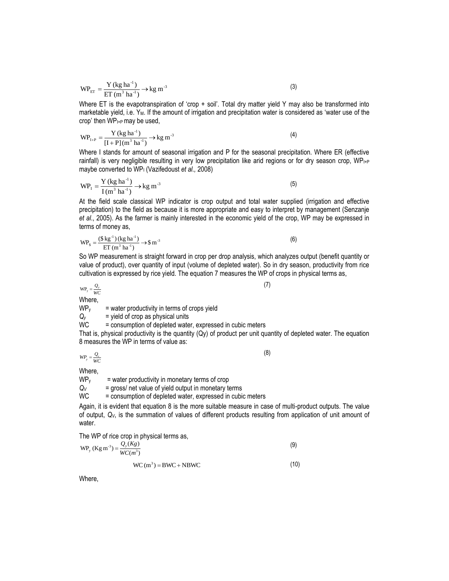$$
WP_{ET} = \frac{Y (kg ha^{-1})}{ET (m^3 ha^{-1})} \rightarrow kg m^{-3}
$$
 (3)

Where ET is the evapotranspiration of 'crop  $+$  soil'. Total dry matter yield Y may also be transformed into marketable yield, i.e. Y<sub>M</sub>. If the amount of irrigation and precipitation water is considered as 'water use of the crop' then WPI+P may be used,

$$
WP_{I+P} = \frac{Y (kg ha^{-1})}{[I+P](m^3 ha^{-1})} \to kg m^{-3}
$$
 (4)

Where I stands for amount of seasonal irrigation and P for the seasonal precipitation. Where ER (effective rainfall) is very negligible resulting in very low precipitation like arid regions or for dry season crop, WPI+P maybe converted to WP<sup>I</sup> (Vazifedoust *et al.,* 2008)

$$
WP_{I} = \frac{Y (kg ha^{-1})}{I (m^{3} ha^{-1})} \to kg m^{-3}
$$
 (5)

At the field scale classical WP indicator is crop output and total water supplied (irrigation and effective precipitation) to the field as because it is more appropriate and easy to interpret by management (Senzanje *et al*., 2005). As the farmer is mainly interested in the economic yield of the crop, WP may be expressed in terms of money as,

$$
WP_s = \frac{(\$ \ kg^{-1})(\ kg \ ha^{-1})}{ET \ (m^3 \ ha^{-1})} \to \$ m^{-3}
$$
 (6)

So WP measurement is straight forward in crop per drop analysis, which analyzes output (benefit quantity or value of product), over quantity of input (volume of depleted water). So in dry season, productivity from rice cultivation is expressed by rice yield. The equation 7 measures the WP of crops in physical terms as,

 $WP_y = \frac{Q_y}{WC}$ 

Where,

 $WP<sub>y</sub>$  = water productivity in terms of crops yield

 $Q_y$  = yield of crop as physical units<br>WC = consumption of depleted wate

= consumption of depleted water, expressed in cubic meters

That is, physical productivity is the quantity (Qy) of product per unit quantity of depleted water. The equation 8 measures the WP in terms of value as:

 $WP_y = \frac{Q_v}{WC}$ 

(8)

(7)

Where,<br>WP<sub>v</sub>

= water productivity in monetary terms of crop

 $Q_V$  = gross/ net value of yield output in monetary terms<br>WC = consumption of depleted water, expressed in cubio

= consumption of depleted water, expressed in cubic meters

Again, it is evident that equation 8 is the more suitable measure in case of multi-product outputs. The value of output, *QV*, is the summation of values of different products resulting from application of unit amount of water.

The WP of rice crop in physical terms as,

$$
WP_y (Kg m^{-3}) = \frac{Q_y (Kg)}{WC(m^3)}
$$
\n(9)

$$
WC (m3) = BWC + NBWC
$$
 (10)

Where,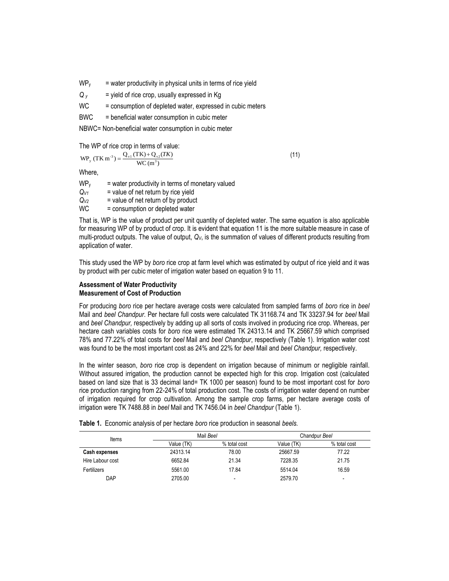- WP<sup>y</sup> *=* water productivity in physical units in terms of rice yield
- $Q<sub>y</sub>$  = yield of rice crop, usually expressed in Kg
- $WC = consumption of depleted water, expressed in cubic meters$
- BWC = beneficial water consumption in cubic meter

NBWC= Non-beneficial water consumption in cubic meter

The WP of rice crop in terms of value:

 $WP_y (TKm^{-3}) = \frac{Q_{v1} (TK) + Q_{v2} (TK)}{WC (m^3)}$ 

(11)

Where,

| WP <sub>y</sub> | = water productivity in terms of monetary valued |
|-----------------|--------------------------------------------------|
| $Q_{V1}$        | = value of net return by rice yield              |
| $Q_{V2}$        | = value of net return of by product              |
| WC              | = consumption or depleted water                  |

That is, WP is the value of product per unit quantity of depleted water. The same equation is also applicable for measuring WP of by product of crop. It is evident that equation 11 is the more suitable measure in case of multi-product outputs. The value of output, *QV*, is the summation of values of different products resulting from application of water.

This study used the WP by *boro* rice crop at farm level which was estimated by output of rice yield and it was by product with per cubic meter of irrigation water based on equation 9 to 11.

## **Assessment of Water Productivity Measurement of Cost of Production**

For producing *boro* rice per hectare average costs were calculated from sampled farms of *boro* rice in *beel* Mail and *beel Chandpur*. Per hectare full costs were calculated TK 31168.74 and TK 33237.94 for *beel* Mail and *beel Chandpur,* respectively by adding up all sorts of costs involved in producing rice crop. Whereas, per hectare cash variables costs for *boro* rice were estimated TK 24313.14 and TK 25667.59 which comprised 78% and 77.22% of total costs for *beel* Mail and *beel Chandpur*, respectively (Table 1). Irrigation water cost was found to be the most important cost as 24% and 22% for *beel* Mail and *beel Chandpur,* respectively.

In the winter season, *boro* rice crop is dependent on irrigation because of minimum or negligible rainfall. Without assured irrigation, the production cannot be expected high for this crop. Irrigation cost (calculated based on land size that is 33 decimal land= TK 1000 per season) found to be most important cost for *boro* rice production ranging from 22-24% of total production cost. The costs of irrigation water depend on number of irrigation required for crop cultivation. Among the sample crop farms, per hectare average costs of irrigation were TK 7488.88 in *beel* Mail and TK 7456.04 in *beel Chandpur* (Table 1).

| <b>Items</b>         |            | Mail Beel                | Chandpur Beel |                          |  |
|----------------------|------------|--------------------------|---------------|--------------------------|--|
|                      | Value (TK) | % total cost             | Value (TK)    | % total cost             |  |
| <b>Cash expenses</b> | 24313.14   | 78.00                    | 25667.59      | 77.22                    |  |
| Hire Labour cost     | 6652.84    | 21.34                    | 7228.35       | 21.75                    |  |
| Fertilizers          | 5561.00    | 17.84                    | 5514.04       | 16.59                    |  |
| <b>DAP</b>           | 2705.00    | $\overline{\phantom{a}}$ | 2579.70       | $\overline{\phantom{a}}$ |  |

**Table 1.** Economic analysis of per hectare *boro* rice production in seasonal *beels.*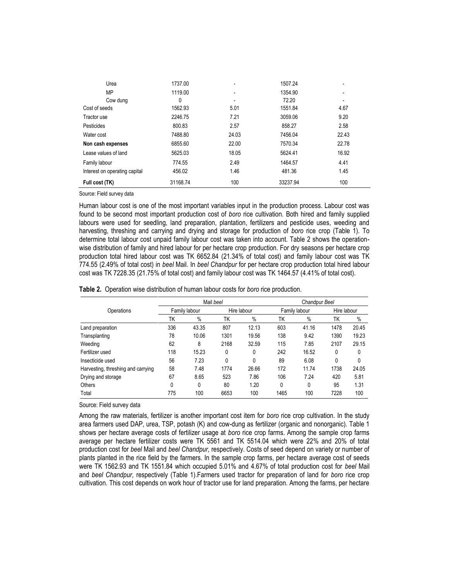| Urea                          | 1737.00  | ٠     | 1507.24  |       |
|-------------------------------|----------|-------|----------|-------|
| MP                            | 1119.00  | ٠     | 1354.90  |       |
| Cow dung                      | 0        | ٠     | 72.20    |       |
| Cost of seeds                 | 1562.93  | 5.01  | 1551.84  | 4.67  |
| Tractor use                   | 2246.75  | 7.21  | 3059.06  | 9.20  |
| Pesticides                    | 800.83   | 2.57  | 858.27   | 2.58  |
| Water cost                    | 7488.80  | 24.03 | 7456.04  | 22.43 |
| Non cash expenses             | 6855.60  | 22.00 | 7570.34  | 22.78 |
| Lease values of land          | 5625.03  | 18.05 | 5624.41  | 16.92 |
| Family labour                 | 774.55   | 2.49  | 1464.57  | 4.41  |
| Interest on operating capital | 456.02   | 1.46  | 481.36   | 1.45  |
| Full cost (TK)                | 31168.74 | 100   | 33237.94 | 100   |

Source: Field survey data

Human labour cost is one of the most important variables input in the production process. Labour cost was found to be second most important production cost of *boro* rice cultivation. Both hired and family supplied labours were used for seedling, land preparation, plantation, fertilizers and pesticide uses, weeding and harvesting, threshing and carrying and drying and storage for production of *boro* rice crop (Table 1). To determine total labour cost unpaid family labour cost was taken into account. Table 2 shows the operationwise distribution of family and hired labour for per hectare crop production. For dry seasons per hectare crop production total hired labour cost was TK 6652.84 (21.34% of total cost) and family labour cost was TK 774.55 (2.49% of total cost) in *beel* Mail. In *beel Chandpur* for per hectare crop production total hired labour cost was TK 7228.35 (21.75% of total cost) and family labour cost was TK 1464.57 (4.41% of total cost).

|  |  | Table 2. Operation wise distribution of human labour costs for boro rice production. |  |  |  |  |  |
|--|--|--------------------------------------------------------------------------------------|--|--|--|--|--|
|--|--|--------------------------------------------------------------------------------------|--|--|--|--|--|

|                                    |     |               | Mail beel |             | Chandpur Beel |               |             |       |
|------------------------------------|-----|---------------|-----------|-------------|---------------|---------------|-------------|-------|
| Operations                         |     | Family labour |           | Hire labour |               | Family labour | Hire labour |       |
|                                    | TΚ  | $\%$          | TΚ        | $\%$        | TΚ            | $\%$          | ΤK          | $\%$  |
| Land preparation                   | 336 | 43.35         | 807       | 12.13       | 603           | 41.16         | 1478        | 20.45 |
| Transplanting                      | 78  | 10.06         | 1301      | 19.56       | 138           | 9.42          | 1390        | 19.23 |
| Weeding                            | 62  | 8             | 2168      | 32.59       | 115           | 7.85          | 2107        | 29.15 |
| Fertilizer used                    | 118 | 15.23         | 0         | 0           | 242           | 16.52         | 0           | 0     |
| Insecticide used                   | 56  | 7.23          | 0         | 0           | 89            | 6.08          | 0           | 0     |
| Harvesting, threshing and carrying | 58  | 7.48          | 1774      | 26.66       | 172           | 11.74         | 1738        | 24.05 |
| Drying and storage                 | 67  | 8.65          | 523       | 7.86        | 106           | 7.24          | 420         | 5.81  |
| Others                             | 0   | 0             | 80        | 1.20        | 0             | 0             | 95          | 1.31  |
| Total                              | 775 | 100           | 6653      | 100         | 1465          | 100           | 7228        | 100   |

Source: Field survey data

Among the raw materials, fertilizer is another important cost item for *boro* rice crop cultivation. In the study area farmers used DAP, urea, TSP, potash (K) and cow-dung as fertilizer (organic and nonorganic). Table 1 shows per hectare average costs of fertilizer usage at *boro* rice crop farms. Among the sample crop farms average per hectare fertilizer costs were TK 5561 and TK 5514.04 which were 22% and 20% of total production cost for *beel* Mail and *beel Chandpur,* respectively. Costs of seed depend on variety or number of plants planted in the rice field by the farmers. In the sample crop farms, per hectare average cost of seeds were TK 1562.93 and TK 1551.84 which occupied 5.01% and 4.67% of total production cost for *beel* Mail and *beel Chandpur*, respectively (Table 1).Farmers used tractor for preparation of land for *boro* rice crop cultivation. This cost depends on work hour of tractor use for land preparation. Among the farms, per hectare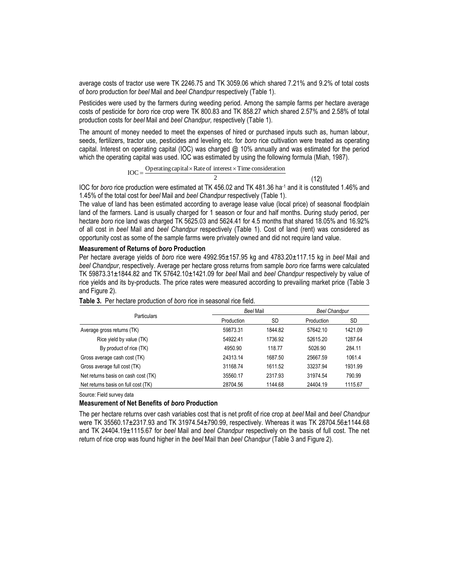average costs of tractor use were TK 2246.75 and TK 3059.06 which shared 7.21% and 9.2% of total costs of *boro* production for *beel* Mail and *beel Chandpur* respectively (Table 1).

Pesticides were used by the farmers during weeding period. Among the sample farms per hectare average costs of pesticide for *boro* rice crop were TK 800.83 and TK 858.27 which shared 2.57% and 2.58% of total production costs for *beel* Mail and *beel Chandpur,* respectively (Table 1).

The amount of money needed to meet the expenses of hired or purchased inputs such as, human labour, seeds, fertilizers, tractor use, pesticides and leveling etc. for *boro* rice cultivation were treated as operating capital. Interest on operating capital (IOC) was charged @ 10% annually and was estimated for the period which the operating capital was used. IOC was estimated by using the following formula (Miah, 1987).

 $\text{IOC} = \frac{\text{Operating capital} \times \text{Rate of interest} \times \text{Time consideration}}{2}$ 

2

(12)

IOC for *boro* rice production were estimated at TK 456.02 and TK 481.36 ha-1 and it is constituted 1.46% and 1.45% of the total cost for *beel* Mail and *beel Chandpur* respectively (Table 1).

The value of land has been estimated according to average lease value (local price) of seasonal floodplain land of the farmers. Land is usually charged for 1 season or four and half months. During study period, per hectare *boro* rice land was charged TK 5625.03 and 5624.41 for 4.5 months that shared 18.05% and 16.92% of all cost in *beel* Mail and *beel Chandpur* respectively (Table 1). Cost of land (rent) was considered as opportunity cost as some of the sample farms were privately owned and did not require land value.

## **Measurement of Returns of** *boro* **Production**

Per hectare average yields of *boro* rice were 4992.95±157.95 kg and 4783.20±117.15 kg in *beel* Mail and *beel Chandpur*, respectively. Average per hectare gross returns from sample *boro* rice farms were calculated TK 59873.31±1844.82 and TK 57642.10±1421.09 for *beel* Mail and *beel Chandpur* respectively by value of rice yields and its by-products. The price rates were measured according to prevailing market price (Table 3 and Figure 2).

|                                     | Beel Mail  |           |            | <b>Beel Chandpur</b> |  |  |
|-------------------------------------|------------|-----------|------------|----------------------|--|--|
| <b>Particulars</b>                  | Production | <b>SD</b> | Production | SD                   |  |  |
| Average gross returns (TK)          | 59873.31   | 1844.82   | 57642.10   | 1421.09              |  |  |
| Rice yield by value (TK)            | 54922.41   | 1736.92   | 52615.20   | 1287.64              |  |  |
| By product of rice (TK)             | 4950.90    | 118.77    | 5026.90    | 284.11               |  |  |
| Gross average cash cost (TK)        | 24313.14   | 1687.50   | 25667.59   | 1061.4               |  |  |
| Gross average full cost (TK)        | 31168.74   | 1611.52   | 33237.94   | 1931.99              |  |  |
| Net returns basis on cash cost (TK) | 35560.17   | 2317.93   | 31974.54   | 790.99               |  |  |
| Net returns basis on full cost (TK) | 28704.56   | 1144.68   | 24404.19   | 1115.67              |  |  |

| Table 3. Per hectare production of boro rice in seasonal rice field. |  |  |  |  |  |
|----------------------------------------------------------------------|--|--|--|--|--|
|----------------------------------------------------------------------|--|--|--|--|--|

Source: Field survey data

## **Measurement of Net Benefits of** *boro* **Production**

The per hectare returns over cash variables cost that is net profit of rice crop at *beel* Mail and *beel Chandpur* were TK 35560.17±2317.93 and TK 31974.54±790.99, respectively. Whereas it was TK 28704.56±1144.68 and TK 24404.19±1115.67 for *beel* Mail and *beel Chandpur* respectively on the basis of full cost. The net return of rice crop was found higher in the *beel* Mail than *beel Chandpur* (Table 3 and Figure 2).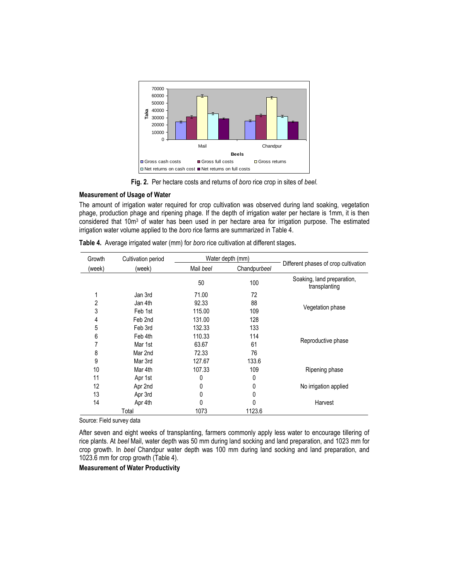

**Fig. 2.** Per hectare costs and returns of *boro* rice crop in sites of *beel.*

### **Measurement of Usage of Water**

The amount of irrigation water required for crop cultivation was observed during land soaking, vegetation phage, production phage and ripening phage. If the depth of irrigation water per hectare is 1mm, it is then considered that 10m<sup>3</sup> of water has been used in per hectare area for irrigation purpose. The estimated irrigation water volume applied to the *boro* rice farms are summarized in Table 4.

| Growth | Cultivation period<br>Water depth (mm) |           |              |                                             |
|--------|----------------------------------------|-----------|--------------|---------------------------------------------|
| (week) | (week)                                 | Mail beel | Chandpurbeel | Different phases of crop cultivation        |
|        |                                        | 50        | 100          | Soaking, land preparation,<br>transplanting |
|        | Jan 3rd                                | 71.00     | 72           |                                             |
| 2      | Jan 4th                                | 92.33     | 88           |                                             |
| 3      | Feb 1st                                | 115.00    | 109          | Vegetation phase                            |
| 4      | Feb 2nd                                | 131.00    | 128          |                                             |
| 5      | Feb 3rd                                | 132.33    | 133          |                                             |
| 6      | Feb 4th                                | 110.33    | 114          |                                             |
| 7      | Mar 1st                                | 63.67     | 61           | Reproductive phase                          |
| 8      | Mar 2nd                                | 72.33     | 76           |                                             |
| 9      | Mar 3rd                                | 127.67    | 133.6        |                                             |
| 10     | Mar 4th                                | 107.33    | 109          | Ripening phase                              |
| 11     | Apr 1st                                | 0         | 0            |                                             |
| 12     | Apr 2nd                                | 0         | 0            | No irrigation applied                       |
| 13     | Apr 3rd                                | 0         | 0            |                                             |
| 14     | Apr 4th                                | 0         | N            | Harvest                                     |
|        | Total                                  | 1073      | 1123.6       |                                             |

**Table 4.** Average irrigated water (mm) for *boro* rice cultivation at different stages**.**

Source: Field survey data

After seven and eight weeks of transplanting, farmers commonly apply less water to encourage tillering of rice plants. At *beel* Mail, water depth was 50 mm during land socking and land preparation, and 1023 mm for crop growth. In *beel* Chandpur water depth was 100 mm during land socking and land preparation, and 1023.6 mm for crop growth (Table 4).

**Measurement of Water Productivity**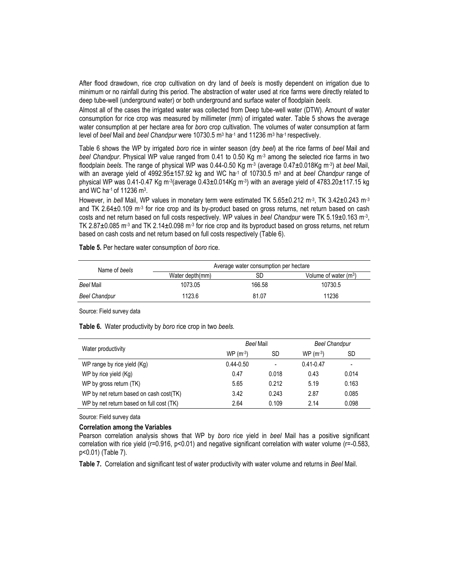After flood drawdown, rice crop cultivation on dry land of *beels* is mostly dependent on irrigation due to minimum or no rainfall during this period. The abstraction of water used at rice farms were directly related to deep tube-well (underground water) or both underground and surface water of floodplain *beels*.

Almost all of the cases the irrigated water was collected from Deep tube-well water (DTW). Amount of water consumption for rice crop was measured by millimeter (mm) of irrigated water. Table 5 shows the average water consumption at per hectare area for *boro* crop cultivation. The volumes of water consumption at farm level of *beel* Mail and *beel Chandpur* were 10730.5 m<sup>3</sup> ha<sup>-1</sup> and 11236 m<sup>3</sup> ha<sup>-1</sup> respectively.

Table 6 shows the WP by irrigated *boro* rice in winter season (dry *beel*) at the rice farms of *beel* Mail and *beel Chandpur*. Physical WP value ranged from 0.41 to 0.50 Kg m-3 among the selected rice farms in two floodplain *beels*. The range of physical WP was 0.44-0.50 Kg m-3 (average 0.47±0.018Kg m-3 ) at *beel* Mail, with an average yield of 4992.95±157.92 kg and WC ha-1 of 10730.5 m<sup>3</sup> and at *beel Chandpur* range of physical WP was 0.41-0.47 Kg m<sup>.3</sup>(average 0.43±0.014Kg m<sup>.3</sup>) with an average yield of 4783.20±117.15 kg and WC ha $-1$  of 11236 m $^3$ .

However, in *bell* Mail, WP values in monetary term were estimated TK 5.65±0.212 m-3 , TK 3.42±0.243 m-3 and TK 2.64±0.109 m<sup>-3</sup> for rice crop and its by-product based on gross returns, net return based on cash costs and net return based on full costs respectively. WP values in *beel Chandpur* were TK 5.19±0.163 m-3 , TK 2.87 $\pm$ 0.085 m<sup>-3</sup> and TK 2.14 $\pm$ 0.098 m<sup>-3</sup> for rice crop and its byproduct based on gross returns, net return based on cash costs and net return based on full costs respectively (Table 6).

**Table 5.** Per hectare water consumption of *boro* rice.

| Name of beels | Average water consumption per hectare |        |                         |  |  |  |  |
|---------------|---------------------------------------|--------|-------------------------|--|--|--|--|
|               | Water depth(mm)                       | SD     | Volume of water $(m^3)$ |  |  |  |  |
| Beel Mail     | 1073.05                               | 166.58 | 10730.5                 |  |  |  |  |
| Beel Chandpur | 1123.6                                | 81.07  | 11236                   |  |  |  |  |

Source: Field survey data

**Table 6.** Water productivity by *boro* rice crop in two *beels.*

|                                          | <b>Beel Mail</b> |                          | <b>Beel Chandpur</b> |       |  |
|------------------------------------------|------------------|--------------------------|----------------------|-------|--|
| Water productivity                       | $WP(m-3)$        | SD                       | $WP(m-3)$            | SD    |  |
| WP range by rice yield (Kg)              | $0.44 - 0.50$    | $\overline{\phantom{0}}$ | $0.41 - 0.47$        | -     |  |
| WP by rice yield (Kg)                    | 0.47             | 0.018                    | 0.43                 | 0.014 |  |
| WP by gross return (TK)                  | 5.65             | 0.212                    | 5.19                 | 0.163 |  |
| WP by net return based on cash cost(TK)  | 3.42             | 0.243                    | 2.87                 | 0.085 |  |
| WP by net return based on full cost (TK) | 2.64             | 0.109                    | 2.14                 | 0.098 |  |

Source: Field survey data

### **Correlation among the Variables**

Pearson correlation analysis shows that WP by *boro* rice yield in *beel* Mail has a positive significant correlation with rice yield (r=0.916, p<0.01) and negative significant correlation with water volume (r=-0.583, p<0.01) (Table 7).

**Table 7.** Correlation and significant test of water productivity with water volume and returns in *Beel* Mail.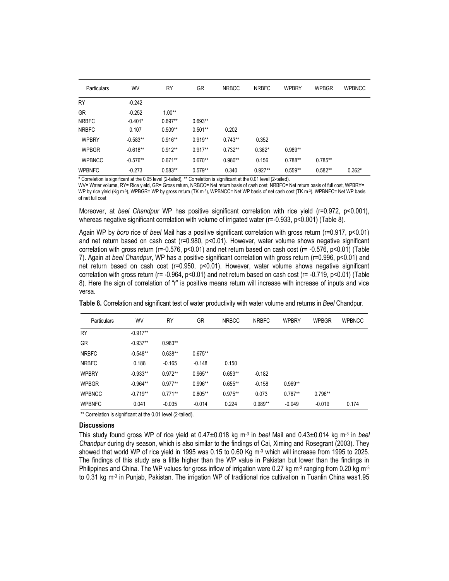| Particulars        | WV                   | RY        | GR        | <b>NRBCC</b> | <b>NRBFC</b>                             | <b>WPBRY</b>          | <b>WPBGR</b> | <b>WPBNCC</b> |
|--------------------|----------------------|-----------|-----------|--------------|------------------------------------------|-----------------------|--------------|---------------|
| <b>RY</b>          | $-0.242$             |           |           |              |                                          |                       |              |               |
| <b>GR</b>          | $-0.252$             | $1.00**$  |           |              |                                          |                       |              |               |
| <b>NRBFC</b>       | $-0.401*$            | $0.697**$ | $0.693**$ |              |                                          |                       |              |               |
| <b>NRBFC</b>       | 0.107                | $0.509**$ | $0.501**$ | 0.202        |                                          |                       |              |               |
| <b>WPBRY</b>       | $-0.583**$           | $0.916**$ | $0.919**$ | $0.743**$    | 0.352                                    |                       |              |               |
| <b>WPBGR</b>       | $-0.618**$           | $0.912**$ | $0.917**$ | $0.732**$    | $0.362*$                                 | $0.989**$             |              |               |
| <b>WPBNCC</b>      | $-0.576**$           | $0.671**$ | $0.670**$ | $0.980**$    | 0.156                                    | $0.788**$             | $0.785**$    |               |
| <b>WPBNFC</b><br>. | $-0.273$<br>$\cdots$ | $0.583**$ | $0.579**$ | 0.340        | $0.927**$<br>$\sim$ $\sim$ $\sim$ $\sim$ | $0.559**$<br>$\cdots$ | $0.582**$    | $0.362*$      |

\* Correlation is significant at the 0.05 level (2-tailed), \*\* Correlation is significant at the 0.01 level (2-tailed). WV= Water volume, RY= Rice yield, GR= Gross return, NRBCC= Net return basis of cash cost, NRBFC= Net return basis of full cost, WPBRY= WP by rice yield (Kg m<sup>-3</sup>), WPBGR= WP by gross return (TK m<sup>-3</sup>), WPBNCC= Net WP basis of net cash cost (TK m<sup>-3</sup>), WPBNFC= Net WP basis of net full cost

Moreover, at *beel Chandpur* WP has positive significant correlation with rice yield (r=0.972, p<0.001), whereas negative significant correlation with volume of irrigated water (r=-0.933, p<0.001) (Table 8).

Again WP by *boro* rice of *beel* Mail has a positive significant correlation with gross return (r=0.917, p<0.01) and net return based on cash cost (r=0.980, p<0.01). However, water volume shows negative significant correlation with gross return (r=-0.576, p<0.01) and net return based on cash cost (r= -0.576, p<0.01) (Table 7). Again at *beel Chandpur*, WP has a positive significant correlation with gross return (r=0.996, p<0.01) and net return based on cash cost (r=0.950, p<0.01). However, water volume shows negative significant correlation with gross return (r= -0.964, p<0.01) and net return based on cash cost (r= -0.719, p<0.01) (Table 8). Here the sign of correlation of "r" is positive means return will increase with increase of inputs and vice versa.

| Particulars   | WV         | <b>RY</b> | <b>GR</b> | <b>NRBCC</b> | <b>NRBFC</b> | <b>WPBRY</b> | <b>WPBGR</b> | <b>WPBNCC</b> |
|---------------|------------|-----------|-----------|--------------|--------------|--------------|--------------|---------------|
| <b>RY</b>     | $-0.917**$ |           |           |              |              |              |              |               |
| GR            | $-0.937**$ | $0.983**$ |           |              |              |              |              |               |
| <b>NRBFC</b>  | $-0.548**$ | $0.638**$ | $0.675**$ |              |              |              |              |               |
| <b>NRBFC</b>  | 0.188      | $-0.165$  | $-0.148$  | 0.150        |              |              |              |               |
| <b>WPBRY</b>  | $-0.933**$ | $0.972**$ | $0.965**$ | $0.653**$    | $-0.182$     |              |              |               |
| <b>WPBGR</b>  | $-0.964**$ | $0.977**$ | 0.996**   | $0.655**$    | $-0.158$     | $0.969**$    |              |               |
| <b>WPBNCC</b> | $-0.719**$ | $0.771**$ | $0.805**$ | $0.975**$    | 0.073        | $0.787**$    | $0.796**$    |               |
| <b>WPBNFC</b> | 0.041      | $-0.035$  | $-0.014$  | 0.224        | 0.989**      | $-0.049$     | $-0.019$     | 0.174         |

 **Table 8.** Correlation and significant test of water productivity with water volume and returns in *Beel* Chandpur.

\*\* Correlation is significant at the 0.01 level (2-tailed).

## **Discussions**

This study found gross WP of rice yield at 0.47±0.018 kg m-3 in *beel* Mail and 0.43±0.014 kg m-3 in *beel Chandpur* during dry season, which is also similar to the findings of Cai, Ximing and Rosegrant (2003). They showed that world WP of rice yield in 1995 was 0.15 to 0.60 Kg m<sup>-3</sup> which will increase from 1995 to 2025. The findings of this study are a little higher than the WP value in Pakistan but lower than the findings in Philippines and China. The WP values for gross inflow of irrigation were 0.27 kg m<sup>-3</sup> ranging from 0.20 kg m<sup>-3</sup> to 0.31 kg m<sup>-3</sup> in Punjab, Pakistan. The irrigation WP of traditional rice cultivation in Tuanlin China was1.95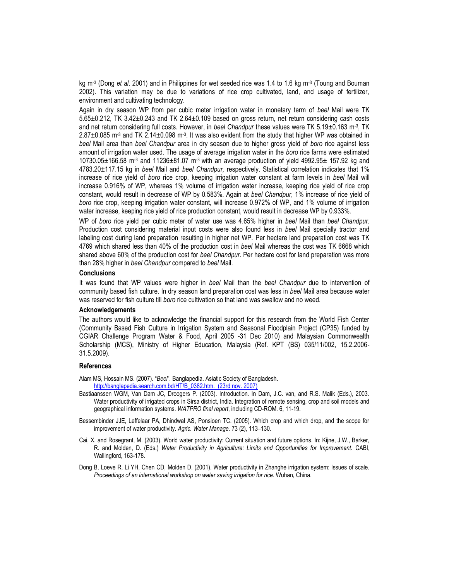kg m-3 (Dong *et al*. 2001) and in Philippines for wet seeded rice was 1.4 to 1.6 kg m-3 (Toung and Bouman 2002). This variation may be due to variations of rice crop cultivated, land, and usage of fertilizer, environment and cultivating technology.

Again in dry season WP from per cubic meter irrigation water in monetary term of *beel* Mail were TK 5.65±0.212, TK 3.42±0.243 and TK 2.64±0.109 based on gross return, net return considering cash costs and net return considering full costs. However, in *beel Chandpur* these values were TK 5.19±0.163 m-3 , TK 2.87±0.085 m<sup>-3</sup> and TK 2.14±0.098 m<sup>-3</sup>. It was also evident from the study that higher WP was obtained in *beel* Mail area than *beel Chandpur* area in dry season due to higher gross yield of *boro* rice against less amount of irrigation water used. The usage of average irrigation water in the *boro* rice farms were estimated 10730.05 $\pm$ 166.58 m<sup>-3</sup> and 11236 $\pm$ 81.07 m<sup>-3</sup> with an average production of yield 4992.95 $\pm$  157.92 kg and 4783.20±117.15 kg in *beel* Mail and *beel Chandpur,* respectively. Statistical correlation indicates that 1% increase of rice yield of *boro* rice crop, keeping irrigation water constant at farm levels in *beel* Mail will increase 0.916% of WP, whereas 1% volume of irrigation water increase, keeping rice yield of rice crop constant, would result in decrease of WP by 0.583%. Again at *beel Chandpur*, 1% increase of rice yield of *boro* rice crop, keeping irrigation water constant, will increase 0.972% of WP, and 1% volume of irrigation water increase, keeping rice yield of rice production constant, would result in decrease WP by 0.933%.

WP of *boro* rice yield per cubic meter of water use was 4.65% higher in *beel* Mail than *beel Chandpur*. Production cost considering material input costs were also found less in *beel* Mail specially tractor and labeling cost during land preparation resulting in higher net WP. Per hectare land preparation cost was TK 4769 which shared less than 40% of the production cost in *beel* Mail whereas the cost was TK 6668 which shared above 60% of the production cost for *beel Chandpur*. Per hectare cost for land preparation was more than 28% higher in *beel Chandpur* compared to *beel* Mail.

### **Conclusions**

It was found that WP values were higher in *beel* Mail than the *beel Chandpur* due to intervention of community based fish culture. In dry season land preparation cost was less in *beel* Mail area because water was reserved for fish culture till *boro* rice cultivation so that land was swallow and no weed.

#### **Acknowledgements**

The authors would like to acknowledge the financial support for this research from the World Fish Center (Community Based Fish Culture in Irrigation System and Seasonal Floodplain Project (CP35) funded by CGIAR Challenge Program Water & Food, April 2005 -31 Dec 2010) and Malaysian Commonwealth Scholarship (MCS), Ministry of Higher Education, Malaysia (Ref. KPT (BS) 035/11/002, 15.2.2006- 31.5.2009).

#### **References**

- Alam MS, Hossain MS. (2007). "Beel". Banglapedia. Asiatic Society of Bangladesh. [http://banglapedia.search.com.bd/HT/B\\_0382.htm. \(23rd nov. 2007\)](http://banglapedia.search.com.bd/HT/B_0382.htm.%20%0d(23rd%20nov.%202007))
- Bastiaanssen WGM, Van Dam JC, Droogers P. (2003). Introduction. In Dam, J.C. van, and R.S. Malik (Eds.), 2003. Water productivity of irrigated crops in Sirsa district, India. Integration of remote sensing, crop and soil models and geographical information systems. *WATPRO final report*, including CD-ROM. 6, 11-19.
- Bessembinder JJE, Leffelaar PA, Dhindwal AS, Ponsioen TC. (2005). Which crop and which drop, and the scope for improvement of water productivity. *Agric. Water Manage.* 73 (2), 113–130.
- Cai, X. and Rosegrant, M. (2003). World water productivity: Current situation and future options. In: Kijne, J.W., Barker, R. and Molden, D. (Eds.) *Water Productivity in Agriculture: Limits and Opportunities for Improvement.* CABI, Wallingford, 163-178.
- Dong B, Loeve R, Li YH, Chen CD, Molden D. (2001). Water productivity in Zhanghe irrigation system: Issues of scale. *Proceedings of an international workshop on water saving irrigation for rice*. Wuhan, China.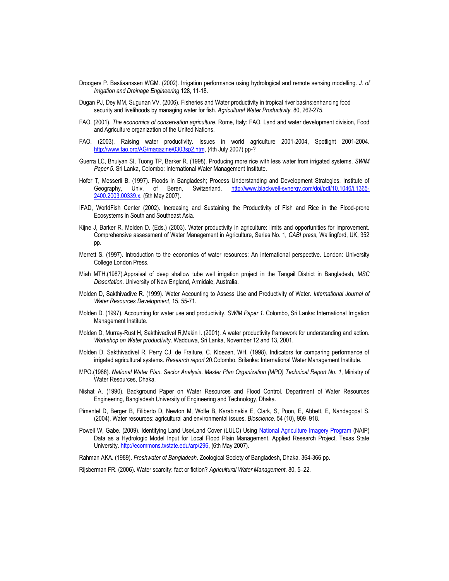- Droogers P. Bastiaanssen WGM. (2002). Irrigation performance using hydrological and remote sensing modelling. *J. of Irrigation and Drainage Engineering* 128, 11-18.
- Dugan PJ, Dey MM, Sugunan VV. (2006). Fisheries and Water productivity in tropical river basins:enhancing food security and livelihoods by managing water for fish. *Agricultural Water Productivity.* 80, 262-275.
- FAO. (2001). *The economics of conservation agriculture*. Rome, Italy: FAO, Land and water development division, Food and Agriculture organization of the United Nations.
- FAO. (2003). Raising water productivity. Issues in world agriculture 2001-2004, Spotlight 2001-2004. [http://www.fao.org/AG/magazine/0303sp2.htm,](http://www.fao.org/AG/magazine/0303sp2.htm) (4th July 2007) pp-?
- Guerra LC, Bhuiyan SI, Tuong TP, Barker R. (1998). Producing more rice with less water from irrigated systems. *SWIM Paper 5*. Sri Lanka, Colombo: International Water Management Institute.
- Hofer T, Messerli B. (1997). Floods in Bangladesh; Process Understanding and Development Strategies. Institute of Geography, Univ. of Beren, Switzerland. [http://www.blackwell-synergy.com/doi/pdf/10.1046/j.1365-](http://www.blackwell-synergy.com/doi/pdf/10.1046/j.1365-2400.2003.00339.x) [2400.2003.00339.x.](http://www.blackwell-synergy.com/doi/pdf/10.1046/j.1365-2400.2003.00339.x) (5th May 2007).
- IFAD, WorldFish Center (2002). Increasing and Sustaining the Productivity of Fish and Rice in the Flood-prone Ecosystems in South and Southeast Asia.
- Kijne J, Barker R, Molden D. (Eds.) (2003). Water productivity in agriculture: limits and opportunities for improvement. Comprehensive assessment of Water Management in Agriculture, Series No. 1*, CABI press*, Wallingford, UK, 352 pp.
- Merrett S. (1997). Introduction to the economics of water resources: An international perspective. London: University College London Press.
- Miah MTH.(1987).Appraisal of deep shallow tube well irrigation project in the Tangail District in Bangladesh, *MSC Dissertation*. University of New England, Armidale, Australia.
- Molden D, Sakthivadive R. (1999). Water Accounting to Assess Use and Productivity of Water. *International Journal of Water Resources Development*, 15, 55-71.
- Molden D. (1997). Accounting for water use and productivity. *SWIM Paper 1.* Colombo, Sri Lanka: International Irrigation Management Institute.
- Molden D, Murray-Rust H, Sakthivadivel R,Makin I. (2001). A water productivity framework for understanding and action. *Workshop on Water productivity*. Wadduwa, Sri Lanka, November 12 and 13, 2001.
- Molden D, Sakthivadivel R, Perry CJ, de Fraiture, C. Kloezen, WH. (1998). Indicators for comparing performance of irrigated agricultural systems. *Research report* 20.Colombo, Srilanka: International Water Management Institute.
- MPO.(1986). *National Water Plan. Sector Analysis*. *Master Plan Organization (MPO) Technical Report No. 1*, Ministry of Water Resources, Dhaka.
- Nishat A. (1990). Background Paper on Water Resources and Flood Control. Department of Water Resources Engineering, Bangladesh University of Engineering and Technology, Dhaka.
- Pimentel D, Berger B, Filiberto D, Newton M, Wolfe B, Karabinakis E, Clark, S, Poon, E, Abbett, E, Nandagopal S. (2004). Water resources: agricultural and environmental issues. *Bioscience.* 54 (10), 909–918.
- Powell W, Gabe. (2009). Identifying Land Use/Land Cover (LULC) Using [National Agriculture Imagery Program](http://en.wikipedia.org/wiki/National_Agriculture_Imagery_Program) (NAIP) Data as a Hydrologic Model Input for Local Flood Plain Management. Applied Research Project, Texas State University[. http://ecommons.txstate.edu/arp/296,](http://ecommons.txstate.edu/arp/296/) (6th May 2007).

Rahman AKA. (1989). *Freshwater of Bangladesh*. Zoological Society of Bangladesh, Dhaka, 364-366 pp.

Rijsberman FR. (2006). Water scarcity: fact or fiction? *Agricultural Water Management*. 80, 5–22.